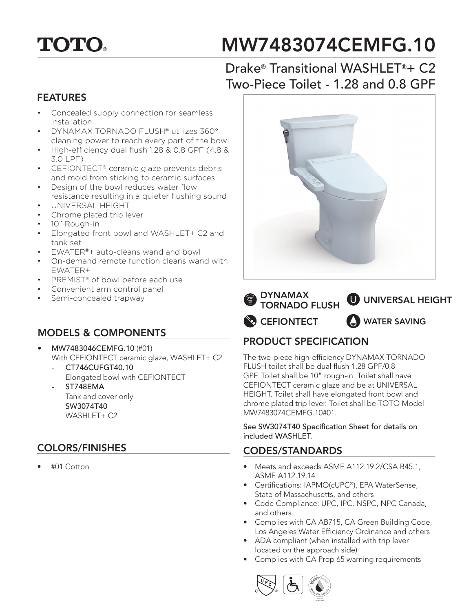# **TOTO.**

# MW7483074CEMFG.10

## Drake® Transitional WASHLET®+ C2 Two-Piece Toilet - 1.28 and 0.8 GPF

#### FEATURES

- Concealed supply connection for seamless installation
- DYNAMAX TORNADO FLUSH® utilizes 360° cleaning power to reach every part of the bowl
- High-efficiency dual flush 1.28 & 0.8 GPF (4.8 & 3.0 LPF)
- CEFIONTECT® ceramic glaze prevents debris and mold from sticking to ceramic surfaces
- Design of the bowl reduces water flow
- resistance resulting in a quieter flushing sound • UNIVERSAL HEIGHT
- Chrome plated trip lever
- 10" Rough-in
- Elongated front bowl and WASHLET+ C2 and tank set
- EWATER®+ auto-cleans wand and bowl
- On-demand remote function cleans wand with EWATER+
- PREMIST® of bowl before each use
- Convenient arm control panel
- Semi-concealed trapway

#### MODELS & COMPONENTS

- MW7483046CEMFG.10 (#01) With CEFIONTECT ceramic glaze, WASHLET+ C2
	- CT746CUFGT40.10 Elongated bowl with CEFIONTECT
	- ST748EMA Tank and cover only
	- SW3074T40 WASHLET+ C2

### COLORS/FINISHES

• #01 Cotton





### PRODUCT SPECIFICATION

The two-piece high-efficiency DYNAMAX TORNADO FLUSH toilet shall be dual flush 1.28 GPF/0.8 GPF. Toilet shall be 10" rough-in. Toilet shall have CEFIONTECT ceramic glaze and be at UNIVERSAL HEIGHT. Toilet shall have elongated front bowl and chrome plated trip lever. Toilet shall be TOTO Model MW7483074CEMFG.10#01.

See SW3074T40 Specification Sheet for details on included WASHLET.

#### CODES/STANDARDS

- Meets and exceeds ASME A112.19.2/CSA B45.1, ASME A112.19.14
- Certifications: IAPMO(cUPC®), EPA WaterSense, State of Massachusetts, and others
- Code Compliance: UPC, IPC, NSPC, NPC Canada, and others
- Complies with CA AB715, CA Green Building Code, Los Angeles Water Efficiency Ordinance and others
- ADA compliant (when installed with trip lever located on the approach side)
- Complies with CA Prop 65 warning requirements